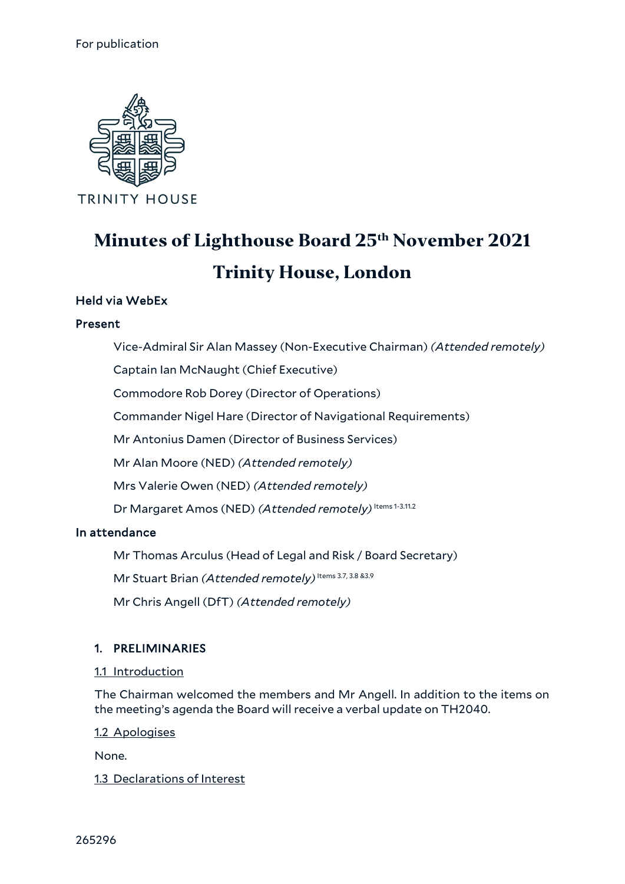

# **Minutes of Lighthouse Board 25th November 2021 Trinity House, London**

## Held via WebEx

#### Present

Vice-Admiral Sir Alan Massey (Non-Executive Chairman) *(Attended remotely)*

Captain Ian McNaught (Chief Executive)

Commodore Rob Dorey (Director of Operations)

Commander Nigel Hare (Director of Navigational Requirements)

Mr Antonius Damen (Director of Business Services)

Mr Alan Moore (NED) *(Attended remotely)*

Mrs Valerie Owen (NED) *(Attended remotely)*

Dr Margaret Amos (NED) (Attended remotely) Items 1-3.11.2

#### In attendance

Mr Thomas Arculus (Head of Legal and Risk / Board Secretary)

Mr Stuart Brian (Attended remotely) Items 3.7, 3.8 &3.9

Mr Chris Angell (DfT) *(Attended remotely)*

#### 1. PRELIMINARIES

#### 1.1 Introduction

The Chairman welcomed the members and Mr Angell. In addition to the items on the meeting's agenda the Board will receive a verbal update on TH2040.

1.2 Apologises

None.

#### 1.3 Declarations of Interest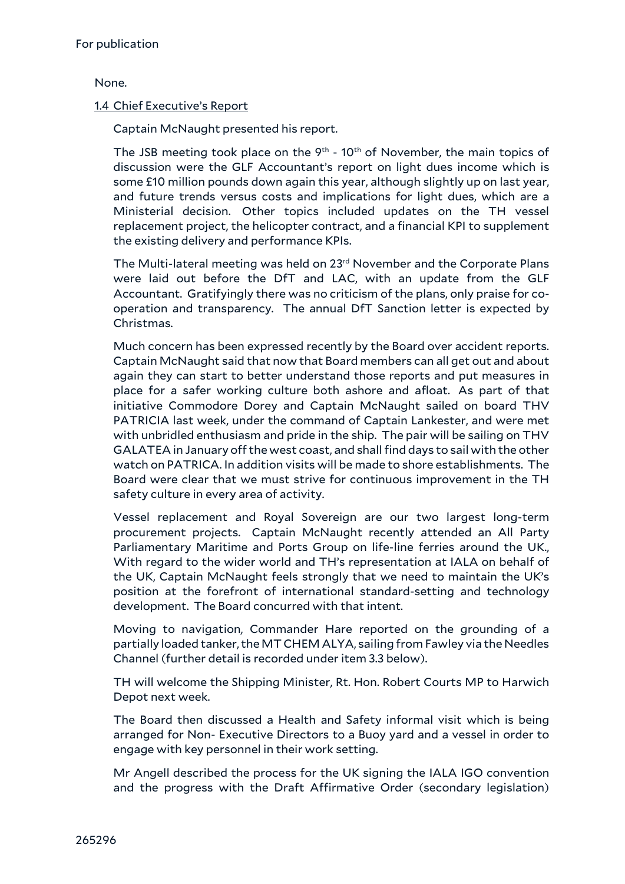None.

## 1.4 Chief Executive's Report

Captain McNaught presented his report.

The JSB meeting took place on the  $9<sup>th</sup>$  - 10<sup>th</sup> of November, the main topics of discussion were the GLF Accountant's report on light dues income which is some £10 million pounds down again this year, although slightly up on last year, and future trends versus costs and implications for light dues, which are a Ministerial decision. Other topics included updates on the TH vessel replacement project, the helicopter contract, and a financial KPI to supplement the existing delivery and performance KPIs.

The Multi-lateral meeting was held on 23<sup>rd</sup> November and the Corporate Plans were laid out before the DfT and LAC, with an update from the GLF Accountant. Gratifyingly there was no criticism of the plans, only praise for cooperation and transparency. The annual DfT Sanction letter is expected by Christmas.

Much concern has been expressed recently by the Board over accident reports. Captain McNaught said that now that Board members can all get out and about again they can start to better understand those reports and put measures in place for a safer working culture both ashore and afloat. As part of that initiative Commodore Dorey and Captain McNaught sailed on board THV PATRICIA last week, under the command of Captain Lankester, and were met with unbridled enthusiasm and pride in the ship. The pair will be sailing on THV GALATEA in January off the west coast, and shall find days to sail with the other watch on PATRICA. In addition visits will be made to shore establishments. The Board were clear that we must strive for continuous improvement in the TH safety culture in every area of activity.

Vessel replacement and Royal Sovereign are our two largest long-term procurement projects. Captain McNaught recently attended an All Party Parliamentary Maritime and Ports Group on life-line ferries around the UK., With regard to the wider world and TH's representation at IALA on behalf of the UK, Captain McNaught feels strongly that we need to maintain the UK's position at the forefront of international standard-setting and technology development. The Board concurred with that intent.

Moving to navigation, Commander Hare reported on the grounding of a partially loaded tanker, the MT CHEM ALYA, sailing from Fawley via the Needles Channel (further detail is recorded under item 3.3 below).

TH will welcome the Shipping Minister, Rt. Hon. Robert Courts MP to Harwich Depot next week.

The Board then discussed a Health and Safety informal visit which is being arranged for Non- Executive Directors to a Buoy yard and a vessel in order to engage with key personnel in their work setting.

Mr Angell described the process for the UK signing the IALA IGO convention and the progress with the Draft Affirmative Order (secondary legislation)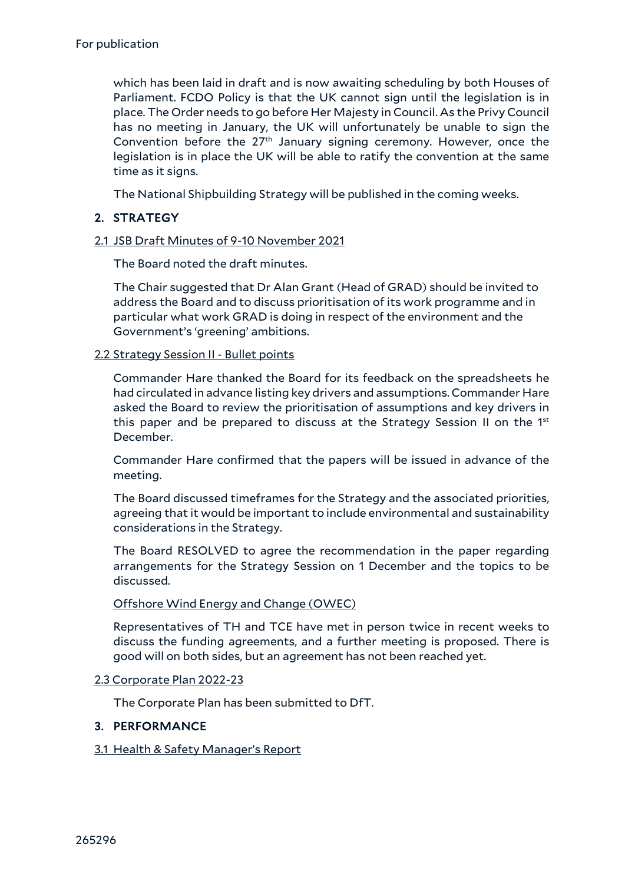which has been laid in draft and is now awaiting scheduling by both Houses of Parliament. FCDO Policy is that the UK cannot sign until the legislation is in place. The Order needs to go before Her Majesty in Council. As the Privy Council has no meeting in January, the UK will unfortunately be unable to sign the Convention before the 27th January signing ceremony. However, once the legislation is in place the UK will be able to ratify the convention at the same time as it signs.

The National Shipbuilding Strategy will be published in the coming weeks.

## 2. STRATEGY

## 2.1 JSB Draft Minutes of 9-10 November 2021

The Board noted the draft minutes.

The Chair suggested that Dr Alan Grant (Head of GRAD) should be invited to address the Board and to discuss prioritisation of its work programme and in particular what work GRAD is doing in respect of the environment and the Government's 'greening' ambitions.

#### 2.2 Strategy Session II - Bullet points

Commander Hare thanked the Board for its feedback on the spreadsheets he had circulated in advance listing key drivers and assumptions. Commander Hare asked the Board to review the prioritisation of assumptions and key drivers in this paper and be prepared to discuss at the Strategy Session II on the 1st December.

Commander Hare confirmed that the papers will be issued in advance of the meeting.

The Board discussed timeframes for the Strategy and the associated priorities, agreeing that it would be important to include environmental and sustainability considerations in the Strategy.

The Board RESOLVED to agree the recommendation in the paper regarding arrangements for the Strategy Session on 1 December and the topics to be discussed.

#### Offshore Wind Energy and Change (OWEC)

Representatives of TH and TCE have met in person twice in recent weeks to discuss the funding agreements, and a further meeting is proposed. There is good will on both sides, but an agreement has not been reached yet.

#### 2.3 Corporate Plan 2022-23

The Corporate Plan has been submitted to DfT.

## 3. PERFORMANCE

#### 3.1 Health & Safety Manager's Report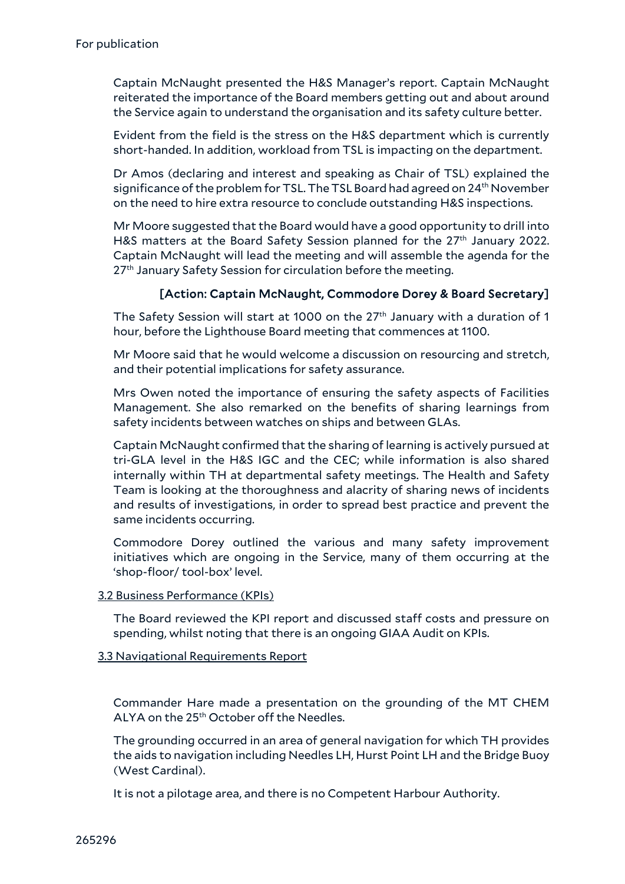Captain McNaught presented the H&S Manager's report. Captain McNaught reiterated the importance of the Board members getting out and about around the Service again to understand the organisation and its safety culture better.

Evident from the field is the stress on the H&S department which is currently short-handed. In addition, workload from TSL is impacting on the department.

Dr Amos (declaring and interest and speaking as Chair of TSL) explained the significance of the problem for TSL. The TSL Board had agreed on 24th November on the need to hire extra resource to conclude outstanding H&S inspections.

Mr Moore suggested that the Board would have a good opportunity to drill into H&S matters at the Board Safety Session planned for the 27<sup>th</sup> January 2022. Captain McNaught will lead the meeting and will assemble the agenda for the 27<sup>th</sup> January Safety Session for circulation before the meeting.

#### [Action: Captain McNaught, Commodore Dorey & Board Secretary]

The Safety Session will start at 1000 on the  $27<sup>th</sup>$  January with a duration of 1 hour, before the Lighthouse Board meeting that commences at 1100.

Mr Moore said that he would welcome a discussion on resourcing and stretch, and their potential implications for safety assurance.

Mrs Owen noted the importance of ensuring the safety aspects of Facilities Management. She also remarked on the benefits of sharing learnings from safety incidents between watches on ships and between GLAs.

Captain McNaught confirmed that the sharing of learning is actively pursued at tri-GLA level in the H&S IGC and the CEC; while information is also shared internally within TH at departmental safety meetings. The Health and Safety Team is looking at the thoroughness and alacrity of sharing news of incidents and results of investigations, in order to spread best practice and prevent the same incidents occurring.

Commodore Dorey outlined the various and many safety improvement initiatives which are ongoing in the Service, many of them occurring at the 'shop-floor/ tool-box' level.

#### 3.2 Business Performance (KPIs)

The Board reviewed the KPI report and discussed staff costs and pressure on spending, whilst noting that there is an ongoing GIAA Audit on KPIs.

#### 3.3 Navigational Requirements Report

Commander Hare made a presentation on the grounding of the MT CHEM ALYA on the 25<sup>th</sup> October off the Needles.

The grounding occurred in an area of general navigation for which TH provides the aids to navigation including Needles LH, Hurst Point LH and the Bridge Buoy (West Cardinal).

It is not a pilotage area, and there is no Competent Harbour Authority.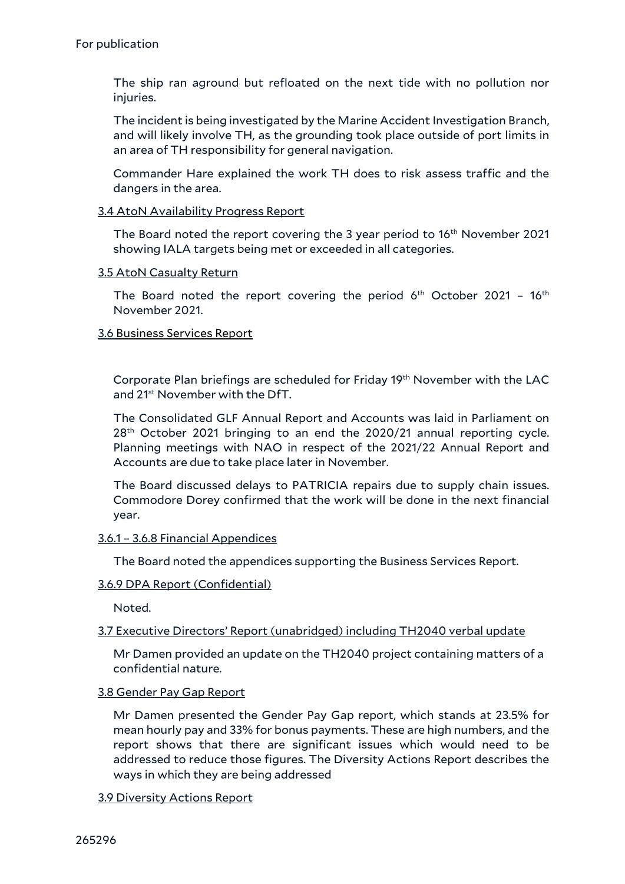The ship ran aground but refloated on the next tide with no pollution nor injuries.

The incident is being investigated by the Marine Accident Investigation Branch, and will likely involve TH, as the grounding took place outside of port limits in an area of TH responsibility for general navigation.

Commander Hare explained the work TH does to risk assess traffic and the dangers in the area.

#### 3.4 AtoN Availability Progress Report

The Board noted the report covering the 3 year period to 16<sup>th</sup> November 2021 showing IALA targets being met or exceeded in all categories.

#### 3.5 AtoN Casualty Return

The Board noted the report covering the period  $6<sup>th</sup>$  October 2021 - 16<sup>th</sup> November 2021.

#### 3.6 Business Services Report

Corporate Plan briefings are scheduled for Friday  $19<sup>th</sup>$  November with the LAC and 21st November with the DfT.

The Consolidated GLF Annual Report and Accounts was laid in Parliament on  $28<sup>th</sup>$  October 2021 bringing to an end the 2020/21 annual reporting cycle. Planning meetings with NAO in respect of the 2021/22 Annual Report and Accounts are due to take place later in November.

The Board discussed delays to PATRICIA repairs due to supply chain issues. Commodore Dorey confirmed that the work will be done in the next financial year.

#### 3.6.1 – 3.6.8 Financial Appendices

The Board noted the appendices supporting the Business Services Report.

#### 3.6.9 DPA Report (Confidential)

Noted.

#### 3.7 Executive Directors' Report (unabridged) including TH2040 verbal update

Mr Damen provided an update on the TH2040 project containing matters of a confidential nature.

#### 3.8 Gender Pay Gap Report

Mr Damen presented the Gender Pay Gap report, which stands at 23.5% for mean hourly pay and 33% for bonus payments. These are high numbers, and the report shows that there are significant issues which would need to be addressed to reduce those figures. The Diversity Actions Report describes the ways in which they are being addressed

#### 3.9 Diversity Actions Report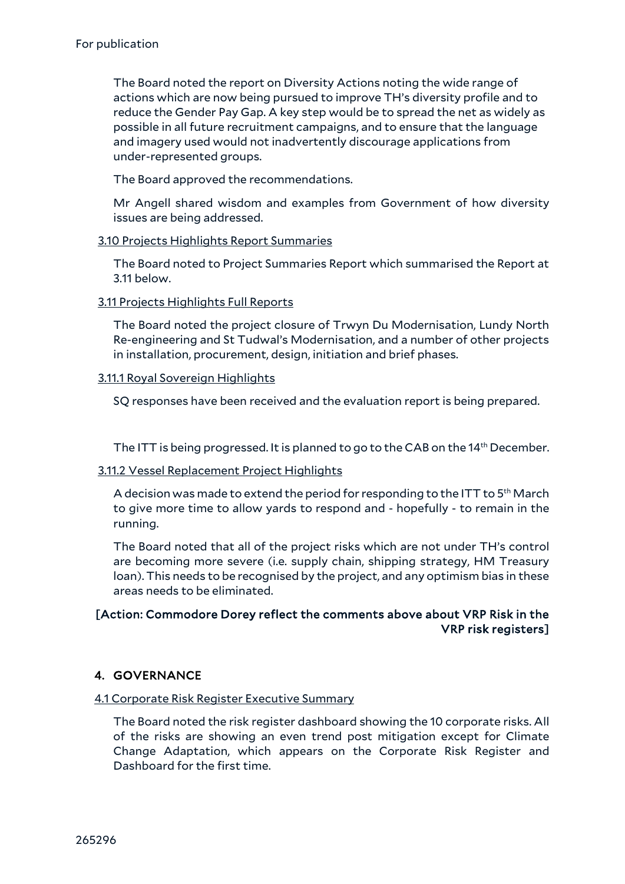The Board noted the report on Diversity Actions noting the wide range of actions which are now being pursued to improve TH's diversity profile and to reduce the Gender Pay Gap. A key step would be to spread the net as widely as possible in all future recruitment campaigns, and to ensure that the language and imagery used would not inadvertently discourage applications from under-represented groups.

The Board approved the recommendations.

Mr Angell shared wisdom and examples from Government of how diversity issues are being addressed.

#### 3.10 Projects Highlights Report Summaries

The Board noted to Project Summaries Report which summarised the Report at 3.11 below.

## 3.11 Projects Highlights Full Reports

The Board noted the project closure of Trwyn Du Modernisation, Lundy North Re-engineering and St Tudwal's Modernisation, and a number of other projects in installation, procurement, design, initiation and brief phases.

## 3.11.1 Royal Sovereign Highlights

SQ responses have been received and the evaluation report is being prepared.

The ITT is being progressed. It is planned to go to the CAB on the  $14<sup>th</sup>$  December.

#### 3.11.2 Vessel Replacement Project Highlights

A decision was made to extend the period for responding to the ITT to  $5<sup>th</sup>$  March to give more time to allow yards to respond and - hopefully - to remain in the running.

The Board noted that all of the project risks which are not under TH's control are becoming more severe (i.e. supply chain, shipping strategy, HM Treasury loan). This needs to be recognised by the project, and any optimism bias in these areas needs to be eliminated.

## [Action: Commodore Dorey reflect the comments above about VRP Risk in the VRP risk registers]

## 4. GOVERNANCE

## 4.1 Corporate Risk Register Executive Summary

The Board noted the risk register dashboard showing the 10 corporate risks. All of the risks are showing an even trend post mitigation except for Climate Change Adaptation, which appears on the Corporate Risk Register and Dashboard for the first time.